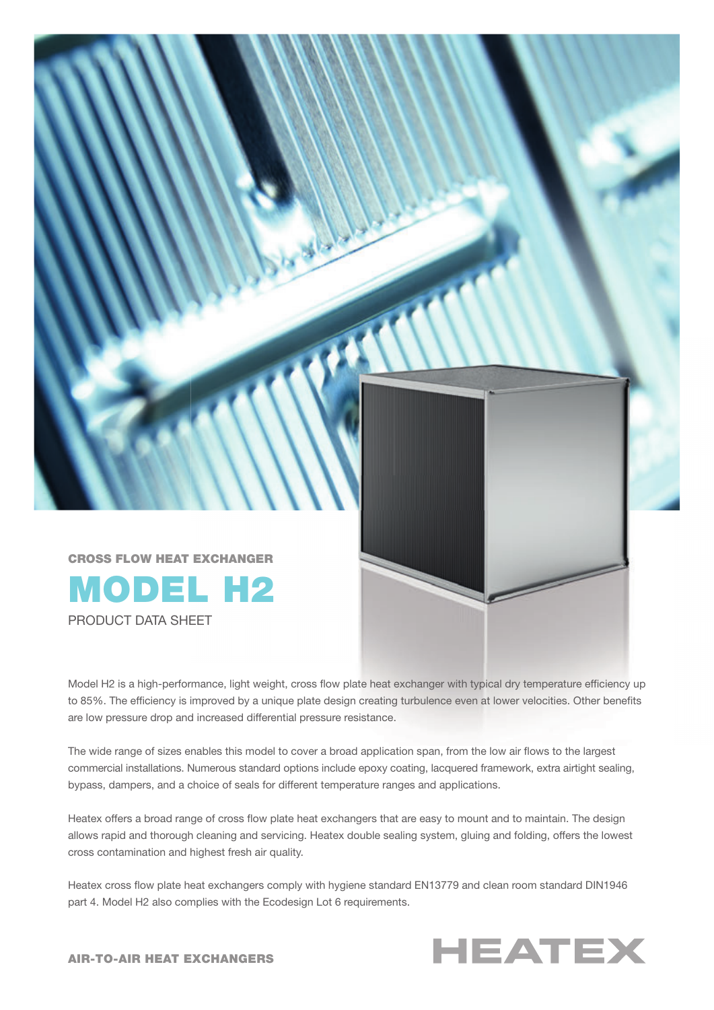

PRODUCT DATA SHEET

Model H2 is a high-performance, light weight, cross flow plate heat exchanger with typical dry temperature efficiency up to 85%. The efficiency is improved by a unique plate design creating turbulence even at lower velocities. Other benefits are low pressure drop and increased differential pressure resistance.

The wide range of sizes enables this model to cover a broad application span, from the low air flows to the largest commercial installations. Numerous standard options include epoxy coating, lacquered framework, extra airtight sealing, bypass, dampers, and a choice of seals for different temperature ranges and applications.

Heatex offers a broad range of cross flow plate heat exchangers that are easy to mount and to maintain. The design allows rapid and thorough cleaning and servicing. Heatex double sealing system, gluing and folding, offers the lowest cross contamination and highest fresh air quality.

Heatex cross flow plate heat exchangers comply with hygiene standard EN13779 and clean room standard DIN1946 part 4. Model H2 also complies with the Ecodesign Lot 6 requirements.



AIR-TO-AIR HEAT EXCHANGERS